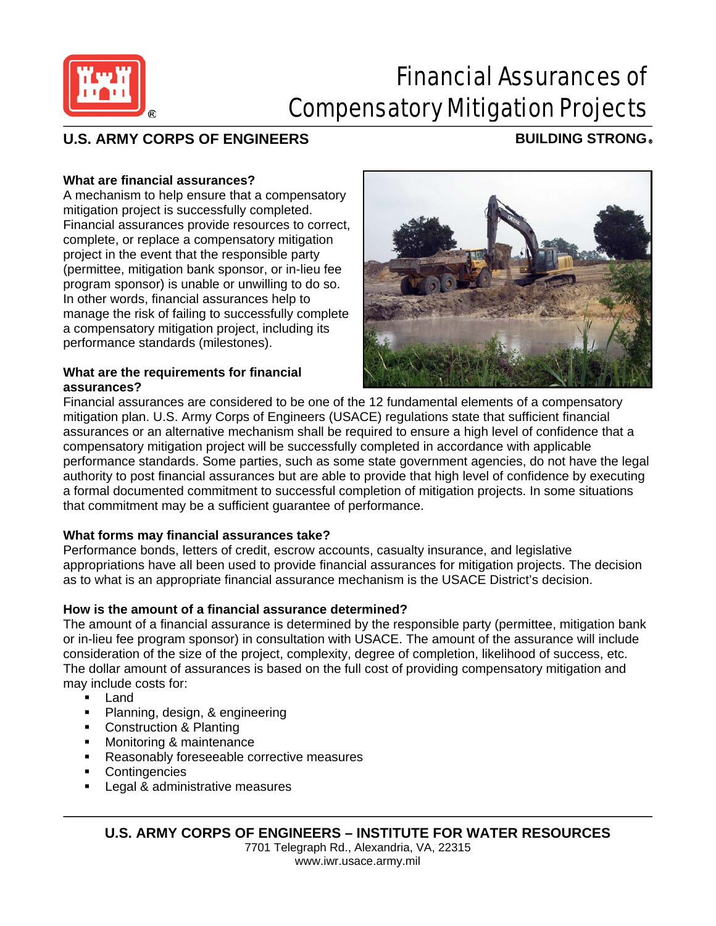

# Financial Assurances of Compensatory Mitigation Projects

## **U.S. ARMY CORPS OF ENGINEERS BUILDING STRONG** ®

### **What are financial assurances?**

A mechanism to help ensure that a compensatory mitigation project is successfully completed. Financial assurances provide resources to correct, complete, or replace a compensatory mitigation project in the event that the responsible party (permittee, mitigation bank sponsor, or in-lieu fee program sponsor) is unable or unwilling to do so. In other words, financial assurances help to manage the risk of failing to successfully complete a compensatory mitigation project, including its performance standards (milestones).

#### **What are the requirements for financial assurances?**



Financial assurances are considered to be one of the 12 fundamental elements of a compensatory mitigation plan. U.S. Army Corps of Engineers (USACE) regulations state that sufficient financial assurances or an alternative mechanism shall be required to ensure a high level of confidence that a compensatory mitigation project will be successfully completed in accordance with applicable performance standards. Some parties, such as some state government agencies, do not have the legal authority to post financial assurances but are able to provide that high level of confidence by executing a formal documented commitment to successful completion of mitigation projects. In some situations that commitment may be a sufficient guarantee of performance.

### **What forms may financial assurances take?**

Performance bonds, letters of credit, escrow accounts, casualty insurance, and legislative appropriations have all been used to provide financial assurances for mitigation projects. The decision as to what is an appropriate financial assurance mechanism is the USACE District's decision.

### **How is the amount of a financial assurance determined?**

The amount of a financial assurance is determined by the responsible party (permittee, mitigation bank or in-lieu fee program sponsor) in consultation with USACE. The amount of the assurance will include consideration of the size of the project, complexity, degree of completion, likelihood of success, etc. The dollar amount of assurances is based on the full cost of providing compensatory mitigation and may include costs for:

- Land
- **Planning, design, & engineering**
- **Construction & Planting**
- **Monitoring & maintenance**
- Reasonably foreseeable corrective measures
- **Contingencies**
- **Legal & administrative measures**